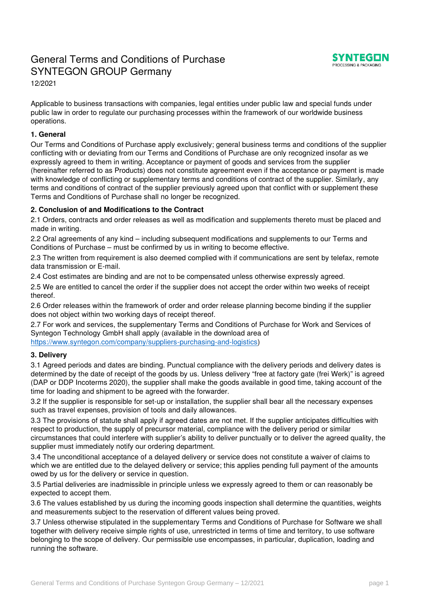# General Terms and Conditions of Purchase SYNTEGON GROUP Germany



12/2021

Applicable to business transactions with companies, legal entities under public law and special funds under public law in order to regulate our purchasing processes within the framework of our worldwide business operations.

## **1. General**

Our Terms and Conditions of Purchase apply exclusively; general business terms and conditions of the supplier conflicting with or deviating from our Terms and Conditions of Purchase are only recognized insofar as we expressly agreed to them in writing. Acceptance or payment of goods and services from the supplier (hereinafter referred to as Products) does not constitute agreement even if the acceptance or payment is made with knowledge of conflicting or supplementary terms and conditions of contract of the supplier. Similarly, any terms and conditions of contract of the supplier previously agreed upon that conflict with or supplement these Terms and Conditions of Purchase shall no longer be recognized.

## **2. Conclusion of and Modifications to the Contract**

2.1 Orders, contracts and order releases as well as modification and supplements thereto must be placed and made in writing.

2.2 Oral agreements of any kind – including subsequent modifications and supplements to our Terms and Conditions of Purchase – must be confirmed by us in writing to become effective.

2.3 The written from requirement is also deemed complied with if communications are sent by telefax, remote data transmission or E-mail.

2.4 Cost estimates are binding and are not to be compensated unless otherwise expressly agreed.

2.5 We are entitled to cancel the order if the supplier does not accept the order within two weeks of receipt thereof.

2.6 Order releases within the framework of order and order release planning become binding if the supplier does not object within two working days of receipt thereof.

2.7 For work and services, the supplementary Terms and Conditions of Purchase for Work and Services of Syntegon Technology GmbH shall apply (available in the download area of [https://www.syntegon.com/company/suppliers-purchasing-and-logistics\)](https://www.syntegon.com/company/suppliers-purchasing-and-logistics)

#### **3. Delivery**

3.1 Agreed periods and dates are binding. Punctual compliance with the delivery periods and delivery dates is determined by the date of receipt of the goods by us. Unless delivery "free at factory gate (frei Werk)" is agreed (DAP or DDP Incoterms 2020), the supplier shall make the goods available in good time, taking account of the time for loading and shipment to be agreed with the forwarder.

3.2 If the supplier is responsible for set-up or installation, the supplier shall bear all the necessary expenses such as travel expenses, provision of tools and daily allowances.

3.3 The provisions of statute shall apply if agreed dates are not met. If the supplier anticipates difficulties with respect to production, the supply of precursor material, compliance with the delivery period or similar circumstances that could interfere with supplier's ability to deliver punctually or to deliver the agreed quality, the supplier must immediately notify our ordering department.

3.4 The unconditional acceptance of a delayed delivery or service does not constitute a waiver of claims to which we are entitled due to the delayed delivery or service; this applies pending full payment of the amounts owed by us for the delivery or service in question.

3.5 Partial deliveries are inadmissible in principle unless we expressly agreed to them or can reasonably be expected to accept them.

3.6 The values established by us during the incoming goods inspection shall determine the quantities, weights and measurements subject to the reservation of different values being proved.

3.7 Unless otherwise stipulated in the supplementary Terms and Conditions of Purchase for Software we shall together with delivery receive simple rights of use, unrestricted in terms of time and territory, to use software belonging to the scope of delivery. Our permissible use encompasses, in particular, duplication, loading and running the software.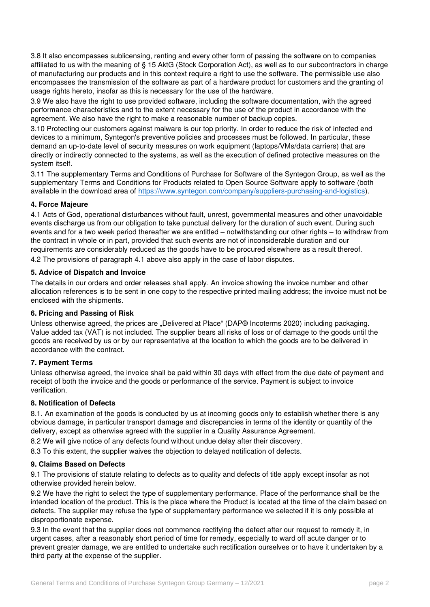3.8 It also encompasses sublicensing, renting and every other form of passing the software on to companies affiliated to us with the meaning of § 15 AktG (Stock Corporation Act), as well as to our subcontractors in charge of manufacturing our products and in this context require a right to use the software. The permissible use also encompasses the transmission of the software as part of a hardware product for customers and the granting of usage rights hereto, insofar as this is necessary for the use of the hardware.

3.9 We also have the right to use provided software, including the software documentation, with the agreed performance characteristics and to the extent necessary for the use of the product in accordance with the agreement. We also have the right to make a reasonable number of backup copies.

3.10 Protecting our customers against malware is our top priority. In order to reduce the risk of infected end devices to a minimum, Syntegon's preventive policies and processes must be followed. In particular, these demand an up-to-date level of security measures on work equipment (laptops/VMs/data carriers) that are directly or indirectly connected to the systems, as well as the execution of defined protective measures on the system itself.

3.11 The supplementary Terms and Conditions of Purchase for Software of the Syntegon Group, as well as the supplementary Terms and Conditions for Products related to Open Source Software apply to software (both available in the download area of [https://www.syntegon.com/company/suppliers-purchasing-and-logistics\)](https://www.syntegon.com/company/suppliers-purchasing-and-logistics).

#### **4. Force Majeure**

4.1 Acts of God, operational disturbances without fault, unrest, governmental measures and other unavoidable events discharge us from our obligation to take punctual delivery for the duration of such event. During such events and for a two week period thereafter we are entitled – notwithstanding our other rights – to withdraw from the contract in whole or in part, provided that such events are not of inconsiderable duration and our requirements are considerably reduced as the goods have to be procured elsewhere as a result thereof. 4.2 The provisions of paragraph 4.1 above also apply in the case of labor disputes.

#### **5. Advice of Dispatch and Invoice**

The details in our orders and order releases shall apply. An invoice showing the invoice number and other allocation references is to be sent in one copy to the respective printed mailing address; the invoice must not be enclosed with the shipments.

#### **6. Pricing and Passing of Risk**

Unless otherwise agreed, the prices are . Delivered at Place " (DAP® Incoterms 2020) including packaging. Value added tax (VAT) is not included. The supplier bears all risks of loss or of damage to the goods until the goods are received by us or by our representative at the location to which the goods are to be delivered in accordance with the contract.

#### **7. Payment Terms**

Unless otherwise agreed, the invoice shall be paid within 30 days with effect from the due date of payment and receipt of both the invoice and the goods or performance of the service. Payment is subject to invoice verification.

#### **8. Notification of Defects**

8.1. An examination of the goods is conducted by us at incoming goods only to establish whether there is any obvious damage, in particular transport damage and discrepancies in terms of the identity or quantity of the delivery, except as otherwise agreed with the supplier in a Quality Assurance Agreement.

8.2 We will give notice of any defects found without undue delay after their discovery.

8.3 To this extent, the supplier waives the objection to delayed notification of defects.

#### **9. Claims Based on Defects**

9.1 The provisions of statute relating to defects as to quality and defects of title apply except insofar as not otherwise provided herein below.

9.2 We have the right to select the type of supplementary performance. Place of the performance shall be the intended location of the product. This is the place where the Product is located at the time of the claim based on defects. The supplier may refuse the type of supplementary performance we selected if it is only possible at disproportionate expense.

9.3 In the event that the supplier does not commence rectifying the defect after our request to remedy it, in urgent cases, after a reasonably short period of time for remedy, especially to ward off acute danger or to prevent greater damage, we are entitled to undertake such rectification ourselves or to have it undertaken by a third party at the expense of the supplier.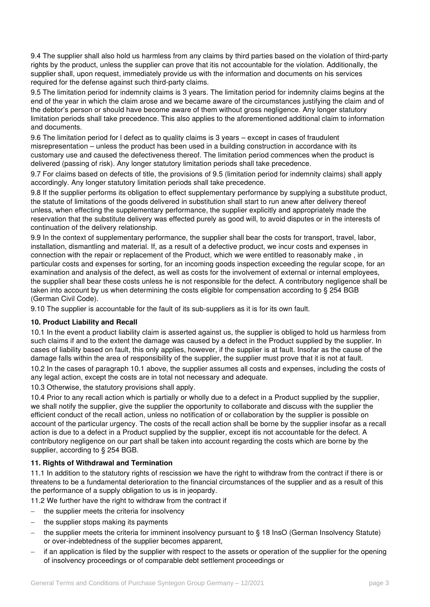9.4 The supplier shall also hold us harmless from any claims by third parties based on the violation of third-party rights by the product, unless the supplier can prove that itis not accountable for the violation. Additionally, the supplier shall, upon request, immediately provide us with the information and documents on his services required for the defense against such third-party claims.

9.5 The limitation period for indemnity claims is 3 years. The limitation period for indemnity claims begins at the end of the year in which the claim arose and we became aware of the circumstances justifying the claim and of the debtor's person or should have become aware of them without gross negligence. Any longer statutory limitation periods shall take precedence. This also applies to the aforementioned additional claim to information and documents.

9.6 The limitation period for l defect as to quality claims is 3 years – except in cases of fraudulent misrepresentation – unless the product has been used in a building construction in accordance with its customary use and caused the defectiveness thereof. The limitation period commences when the product is delivered (passing of risk). Any longer statutory limitation periods shall take precedence.

9.7 For claims based on defects of title, the provisions of 9.5 (limitation period for indemnity claims) shall apply accordingly. Any longer statutory limitation periods shall take precedence.

9.8 If the supplier performs its obligation to effect supplementary performance by supplying a substitute product, the statute of limitations of the goods delivered in substitution shall start to run anew after delivery thereof unless, when effecting the supplementary performance, the supplier explicitly and appropriately made the reservation that the substitute delivery was effected purely as good will, to avoid disputes or in the interests of continuation of the delivery relationship.

9.9 In the context of supplementary performance, the supplier shall bear the costs for transport, travel, labor, installation, dismantling and material. If, as a result of a defective product, we incur costs and expenses in connection with the repair or replacement of the Product, which we were entitled to reasonably make , in particular costs and expenses for sorting, for an incoming goods inspection exceeding the regular scope, for an examination and analysis of the defect, as well as costs for the involvement of external or internal employees, the supplier shall bear these costs unless he is not responsible for the defect. A contributory negligence shall be taken into account by us when determining the costs eligible for compensation according to § 254 BGB (German Civil Code).

9.10 The supplier is accountable for the fault of its sub-suppliers as it is for its own fault.

#### **10. Product Liability and Recall**

10.1 In the event a product liability claim is asserted against us, the supplier is obliged to hold us harmless from such claims if and to the extent the damage was caused by a defect in the Product supplied by the supplier. In cases of liability based on fault, this only applies, however, if the supplier is at fault. Insofar as the cause of the damage falls within the area of responsibility of the supplier, the supplier must prove that it is not at fault.

10.2 In the cases of paragraph 10.1 above, the supplier assumes all costs and expenses, including the costs of any legal action, except the costs are in total not necessary and adequate.

10.3 Otherwise, the statutory provisions shall apply.

10.4 Prior to any recall action which is partially or wholly due to a defect in a Product supplied by the supplier, we shall notify the supplier, give the supplier the opportunity to collaborate and discuss with the supplier the efficient conduct of the recall action, unless no notification of or collaboration by the supplier is possible on account of the particular urgency. The costs of the recall action shall be borne by the supplier insofar as a recall action is due to a defect in a Product supplied by the supplier, except itis not accountable for the defect. A contributory negligence on our part shall be taken into account regarding the costs which are borne by the supplier, according to § 254 BGB.

# **11. Rights of Withdrawal and Termination**

11.1 In addition to the statutory rights of rescission we have the right to withdraw from the contract if there is or threatens to be a fundamental deterioration to the financial circumstances of the supplier and as a result of this the performance of a supply obligation to us is in jeopardy.

11.2 We further have the right to withdraw from the contract if

- the supplier meets the criteria for insolvency
- the supplier stops making its payments
- the supplier meets the criteria for imminent insolvency pursuant to § 18 InsO (German Insolvency Statute) or over-indebtedness of the supplier becomes apparent,
- if an application is filed by the supplier with respect to the assets or operation of the supplier for the opening of insolvency proceedings or of comparable debt settlement proceedings or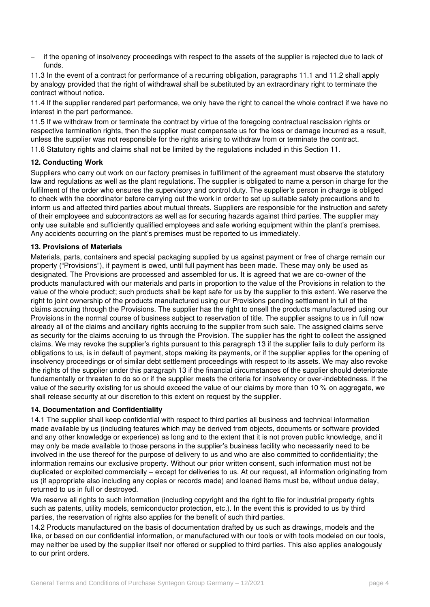if the opening of insolvency proceedings with respect to the assets of the supplier is rejected due to lack of funds.

11.3 In the event of a contract for performance of a recurring obligation, paragraphs 11.1 and 11.2 shall apply by analogy provided that the right of withdrawal shall be substituted by an extraordinary right to terminate the contract without notice.

11.4 If the supplier rendered part performance, we only have the right to cancel the whole contract if we have no interest in the part performance.

11.5 If we withdraw from or terminate the contract by virtue of the foregoing contractual rescission rights or respective termination rights, then the supplier must compensate us for the loss or damage incurred as a result, unless the supplier was not responsible for the rights arising to withdraw from or terminate the contract. 11.6 Statutory rights and claims shall not be limited by the regulations included in this Section 11.

#### **12. Conducting Work**

Suppliers who carry out work on our factory premises in fulfillment of the agreement must observe the statutory law and regulations as well as the plant regulations. The supplier is obligated to name a person in charge for the fulfilment of the order who ensures the supervisory and control duty. The supplier's person in charge is obliged to check with the coordinator before carrying out the work in order to set up suitable safety precautions and to inform us and affected third parties about mutual threats. Suppliers are responsible for the instruction and safety of their employees and subcontractors as well as for securing hazards against third parties. The supplier may only use suitable and sufficiently qualified employees and safe working equipment within the plant's premises. Any accidents occurring on the plant's premises must be reported to us immediately.

#### **13. Provisions of Materials**

Materials, parts, containers and special packaging supplied by us against payment or free of charge remain our property ("Provisions"), if payment is owed, until full payment has been made. These may only be used as designated. The Provisions are processed and assembled for us. It is agreed that we are co-owner of the products manufactured with our materials and parts in proportion to the value of the Provisions in relation to the value of the whole product; such products shall be kept safe for us by the supplier to this extent. We reserve the right to joint ownership of the products manufactured using our Provisions pending settlement in full of the claims accruing through the Provisions. The supplier has the right to onsell the products manufactured using our Provisions in the normal course of business subject to reservation of title. The supplier assigns to us in full now already all of the claims and ancillary rights accruing to the supplier from such sale. The assigned claims serve as security for the claims accruing to us through the Provision. The supplier has the right to collect the assigned claims. We may revoke the supplier's rights pursuant to this paragraph 13 if the supplier fails to duly perform its obligations to us, is in default of payment, stops making its payments, or if the supplier applies for the opening of insolvency proceedings or of similar debt settlement proceedings with respect to its assets. We may also revoke the rights of the supplier under this paragraph 13 if the financial circumstances of the supplier should deteriorate fundamentally or threaten to do so or if the supplier meets the criteria for insolvency or over-indebtedness. If the value of the security existing for us should exceed the value of our claims by more than 10 % on aggregate, we shall release security at our discretion to this extent on request by the supplier.

#### **14. Documentation and Confidentiality**

14.1 The supplier shall keep confidential with respect to third parties all business and technical information made available by us (including features which may be derived from objects, documents or software provided and any other knowledge or experience) as long and to the extent that it is not proven public knowledge, and it may only be made available to those persons in the supplier's business facility who necessarily need to be involved in the use thereof for the purpose of delivery to us and who are also committed to confidentiality; the information remains our exclusive property. Without our prior written consent, such information must not be duplicated or exploited commercially – except for deliveries to us. At our request, all information originating from us (if appropriate also including any copies or records made) and loaned items must be, without undue delay, returned to us in full or destroyed.

We reserve all rights to such information (including copyright and the right to file for industrial property rights such as patents, utility models, semiconductor protection, etc.). In the event this is provided to us by third parties, the reservation of rights also applies for the benefit of such third parties.

14.2 Products manufactured on the basis of documentation drafted by us such as drawings, models and the like, or based on our confidential information, or manufactured with our tools or with tools modeled on our tools, may neither be used by the supplier itself nor offered or supplied to third parties. This also applies analogously to our print orders.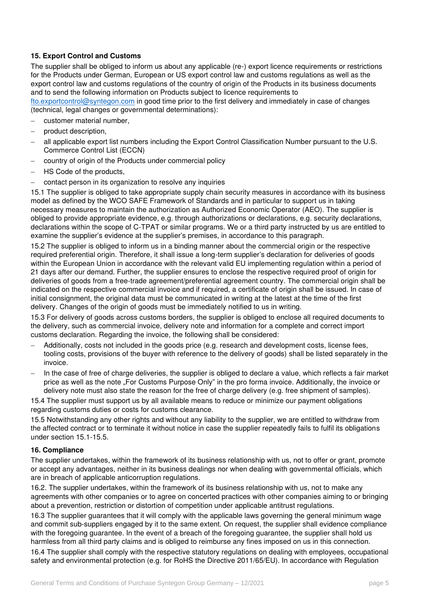## **15. Export Control and Customs**

The supplier shall be obliged to inform us about any applicable (re-) export licence requirements or restrictions for the Products under German, European or US export control law and customs regulations as well as the export control law and customs regulations of the country of origin of the Products in its business documents and to send the following information on Products subject to licence requirements to

[fto.exportcontrol@syntegon.com](mailto:fto.exportcontrol@syntegon.com) in good time prior to the first delivery and immediately in case of changes (technical, legal changes or governmental determinations):

- customer material number,
- product description,
- all applicable export list numbers including the Export Control Classification Number pursuant to the U.S. Commerce Control List (ECCN)
- country of origin of the Products under commercial policy
- HS Code of the products,
- contact person in its organization to resolve any inquiries

15.1 The supplier is obliged to take appropriate supply chain security measures in accordance with its business model as defined by the WCO SAFE Framework of Standards and in particular to support us in taking necessary measures to maintain the authorization as Authorized Economic Operator (AEO). The supplier is obliged to provide appropriate evidence, e.g. through authorizations or declarations, e.g. security declarations, declarations within the scope of C-TPAT or similar programs. We or a third party instructed by us are entitled to examine the supplier's evidence at the supplier's premises, in accordance to this paragraph.

15.2 The supplier is obliged to inform us in a binding manner about the commercial origin or the respective required preferential origin. Therefore, it shall issue a long-term supplier's declaration for deliveries of goods within the European Union in accordance with the relevant valid EU implementing regulation within a period of 21 days after our demand. Further, the supplier ensures to enclose the respective required proof of origin for deliveries of goods from a free-trade agreement/preferential agreement country. The commercial origin shall be indicated on the respective commercial invoice and if required, a certificate of origin shall be issued. In case of initial consignment, the original data must be communicated in writing at the latest at the time of the first delivery. Changes of the origin of goods must be immediately notified to us in writing.

15.3 For delivery of goods across customs borders, the supplier is obliged to enclose all required documents to the delivery, such as commercial invoice, delivery note and information for a complete and correct import customs declaration. Regarding the invoice, the following shall be considered:

- Additionally, costs not included in the goods price (e.g. research and development costs, license fees, tooling costs, provisions of the buyer with reference to the delivery of goods) shall be listed separately in the invoice.
- In the case of free of charge deliveries, the supplier is obliged to declare a value, which reflects a fair market price as well as the note "For Customs Purpose Only" in the pro forma invoice. Additionally, the invoice or delivery note must also state the reason for the free of charge delivery (e.g. free shipment of samples).

15.4 The supplier must support us by all available means to reduce or minimize our payment obligations regarding customs duties or costs for customs clearance.

15.5 Notwithstanding any other rights and without any liability to the supplier, we are entitled to withdraw from the affected contract or to terminate it without notice in case the supplier repeatedly fails to fulfil its obligations under section 15.1-15.5.

#### **16. Compliance**

The supplier undertakes, within the framework of its business relationship with us, not to offer or grant, promote or accept any advantages, neither in its business dealings nor when dealing with governmental officials, which are in breach of applicable anticorruption regulations.

16.2. The supplier undertakes, within the framework of its business relationship with us, not to make any agreements with other companies or to agree on concerted practices with other companies aiming to or bringing about a prevention, restriction or distortion of competition under applicable antitrust regulations.

16.3 The supplier guarantees that it will comply with the applicable laws governing the general minimum wage and commit sub-suppliers engaged by it to the same extent. On request, the supplier shall evidence compliance with the foregoing guarantee. In the event of a breach of the foregoing guarantee, the supplier shall hold us harmless from all third party claims and is obliged to reimburse any fines imposed on us in this connection.

16.4 The supplier shall comply with the respective statutory regulations on dealing with employees, occupational safety and environmental protection (e.g. for RoHS the Directive 2011/65/EU). In accordance with Regulation